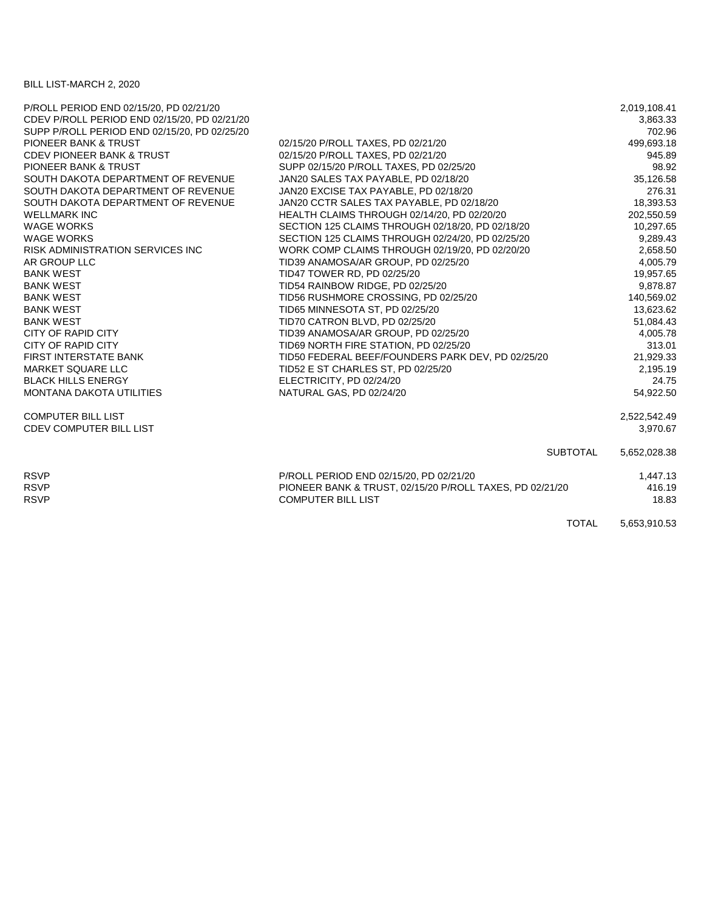## BILL LIST-MARCH 2, 2020

| P/ROLL PERIOD END 02/15/20, PD 02/21/20      |                                                          | 2,019,108.41 |
|----------------------------------------------|----------------------------------------------------------|--------------|
| CDEV P/ROLL PERIOD END 02/15/20, PD 02/21/20 |                                                          | 3,863.33     |
| SUPP P/ROLL PERIOD END 02/15/20, PD 02/25/20 |                                                          | 702.96       |
| PIONEER BANK & TRUST                         | 02/15/20 P/ROLL TAXES, PD 02/21/20                       | 499,693.18   |
| <b>CDEV PIONEER BANK &amp; TRUST</b>         | 02/15/20 P/ROLL TAXES, PD 02/21/20                       | 945.89       |
| <b>PIONEER BANK &amp; TRUST</b>              | SUPP 02/15/20 P/ROLL TAXES, PD 02/25/20                  | 98.92        |
| SOUTH DAKOTA DEPARTMENT OF REVENUE           | JAN20 SALES TAX PAYABLE, PD 02/18/20                     | 35,126.58    |
| SOUTH DAKOTA DEPARTMENT OF REVENUE           | JAN20 EXCISE TAX PAYABLE, PD 02/18/20                    | 276.31       |
| SOUTH DAKOTA DEPARTMENT OF REVENUE           | JAN20 CCTR SALES TAX PAYABLE, PD 02/18/20                | 18,393.53    |
| <b>WELLMARK INC</b>                          | HEALTH CLAIMS THROUGH 02/14/20, PD 02/20/20              | 202,550.59   |
| <b>WAGE WORKS</b>                            | SECTION 125 CLAIMS THROUGH 02/18/20, PD 02/18/20         | 10,297.65    |
| <b>WAGE WORKS</b>                            | SECTION 125 CLAIMS THROUGH 02/24/20, PD 02/25/20         | 9,289.43     |
| <b>RISK ADMINISTRATION SERVICES INC.</b>     | WORK COMP CLAIMS THROUGH 02/19/20, PD 02/20/20           | 2,658.50     |
| AR GROUP LLC                                 | TID39 ANAMOSA/AR GROUP, PD 02/25/20                      | 4,005.79     |
| <b>BANK WEST</b>                             | TID47 TOWER RD, PD 02/25/20                              | 19,957.65    |
| <b>BANK WEST</b>                             | TID54 RAINBOW RIDGE, PD 02/25/20                         | 9,878.87     |
| <b>BANK WEST</b>                             | TID56 RUSHMORE CROSSING, PD 02/25/20                     | 140,569.02   |
| <b>BANK WEST</b>                             | TID65 MINNESOTA ST, PD 02/25/20                          | 13,623.62    |
| <b>BANK WEST</b>                             | TID70 CATRON BLVD, PD 02/25/20                           | 51,084.43    |
| <b>CITY OF RAPID CITY</b>                    | TID39 ANAMOSA/AR GROUP, PD 02/25/20                      | 4,005.78     |
| CITY OF RAPID CITY                           | TID69 NORTH FIRE STATION, PD 02/25/20                    | 313.01       |
| <b>FIRST INTERSTATE BANK</b>                 | TID50 FEDERAL BEEF/FOUNDERS PARK DEV, PD 02/25/20        | 21,929.33    |
| MARKET SQUARE LLC                            | TID52 E ST CHARLES ST, PD 02/25/20                       | 2,195.19     |
| <b>BLACK HILLS ENERGY</b>                    | ELECTRICITY, PD 02/24/20                                 | 24.75        |
| <b>MONTANA DAKOTA UTILITIES</b>              | NATURAL GAS, PD 02/24/20                                 | 54,922.50    |
| <b>COMPUTER BILL LIST</b>                    |                                                          | 2,522,542.49 |
| <b>CDEV COMPUTER BILL LIST</b>               |                                                          | 3,970.67     |
|                                              | <b>SUBTOTAL</b>                                          | 5,652,028.38 |
| <b>RSVP</b>                                  | P/ROLL PERIOD END 02/15/20, PD 02/21/20                  | 1,447.13     |
| <b>RSVP</b>                                  | PIONEER BANK & TRUST, 02/15/20 P/ROLL TAXES, PD 02/21/20 | 416.19       |
| <b>RSVP</b>                                  | <b>COMPUTER BILL LIST</b>                                | 18.83        |
|                                              | <b>TOTAL</b>                                             | 5,653,910.53 |
|                                              |                                                          |              |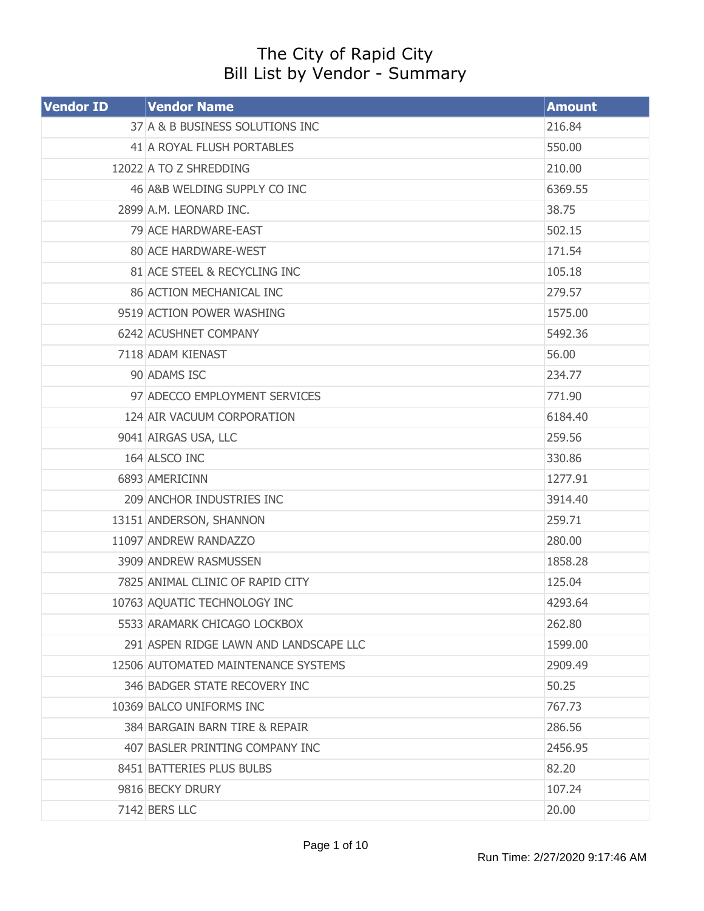## The City of Rapid City Bill List by Vendor - Summary

| <b>Vendor ID</b> | <b>Vendor Name</b>                     | <b>Amount</b> |
|------------------|----------------------------------------|---------------|
|                  | 37 A & B BUSINESS SOLUTIONS INC        | 216.84        |
|                  | 41 A ROYAL FLUSH PORTABLES             | 550.00        |
|                  | 12022 A TO Z SHREDDING                 | 210.00        |
|                  | 46 A&B WELDING SUPPLY CO INC           | 6369.55       |
|                  | 2899 A.M. LEONARD INC.                 | 38.75         |
|                  | 79 ACE HARDWARE-EAST                   | 502.15        |
|                  | 80 ACE HARDWARE-WEST                   | 171.54        |
|                  | 81 ACE STEEL & RECYCLING INC           | 105.18        |
|                  | 86 ACTION MECHANICAL INC               | 279.57        |
|                  | 9519 ACTION POWER WASHING              | 1575.00       |
|                  | 6242 ACUSHNET COMPANY                  | 5492.36       |
|                  | 7118 ADAM KIENAST                      | 56.00         |
|                  | 90 ADAMS ISC                           | 234.77        |
|                  | 97 ADECCO EMPLOYMENT SERVICES          | 771.90        |
|                  | 124 AIR VACUUM CORPORATION             | 6184.40       |
|                  | 9041 AIRGAS USA, LLC                   | 259.56        |
|                  | 164 ALSCO INC                          | 330.86        |
|                  | 6893 AMERICINN                         | 1277.91       |
|                  | 209 ANCHOR INDUSTRIES INC              | 3914.40       |
|                  | 13151 ANDERSON, SHANNON                | 259.71        |
|                  | 11097 ANDREW RANDAZZO                  | 280.00        |
|                  | 3909 ANDREW RASMUSSEN                  | 1858.28       |
|                  | 7825 ANIMAL CLINIC OF RAPID CITY       | 125.04        |
|                  | 10763 AQUATIC TECHNOLOGY INC           | 4293.64       |
|                  | 5533 ARAMARK CHICAGO LOCKBOX           | 262.80        |
|                  | 291 ASPEN RIDGE LAWN AND LANDSCAPE LLC | 1599.00       |
|                  | 12506 AUTOMATED MAINTENANCE SYSTEMS    | 2909.49       |
|                  | 346 BADGER STATE RECOVERY INC          | 50.25         |
|                  | 10369 BALCO UNIFORMS INC               | 767.73        |
|                  | 384 BARGAIN BARN TIRE & REPAIR         | 286.56        |
|                  | 407 BASLER PRINTING COMPANY INC        | 2456.95       |
|                  | 8451 BATTERIES PLUS BULBS              | 82.20         |
|                  | 9816 BECKY DRURY                       | 107.24        |
|                  | 7142 BERS LLC                          | 20.00         |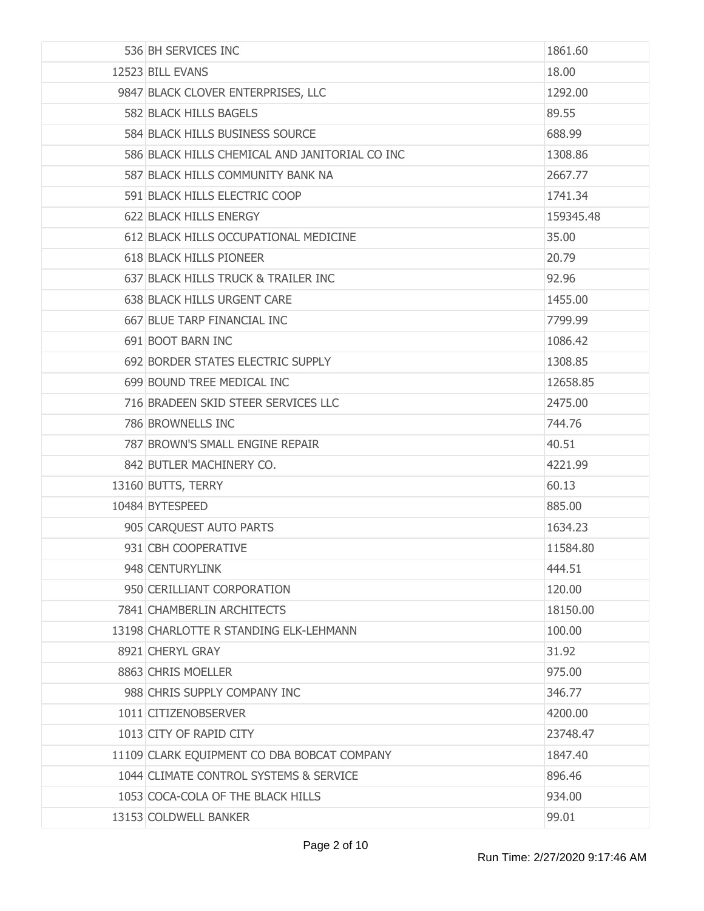| 536 BH SERVICES INC                            | 1861.60   |
|------------------------------------------------|-----------|
| 12523 BILL EVANS                               | 18.00     |
| 9847 BLACK CLOVER ENTERPRISES, LLC             | 1292.00   |
| 582 BLACK HILLS BAGELS                         | 89.55     |
| 584 BLACK HILLS BUSINESS SOURCE                | 688.99    |
| 586 BLACK HILLS CHEMICAL AND JANITORIAL CO INC | 1308.86   |
| 587 BLACK HILLS COMMUNITY BANK NA              | 2667.77   |
| 591 BLACK HILLS ELECTRIC COOP                  | 1741.34   |
| 622 BLACK HILLS ENERGY                         | 159345.48 |
| 612 BLACK HILLS OCCUPATIONAL MEDICINE          | 35.00     |
| <b>618 BLACK HILLS PIONEER</b>                 | 20.79     |
| 637 BLACK HILLS TRUCK & TRAILER INC            | 92.96     |
| 638 BLACK HILLS URGENT CARE                    | 1455.00   |
| 667 BLUE TARP FINANCIAL INC                    | 7799.99   |
| 691 BOOT BARN INC                              | 1086.42   |
| 692 BORDER STATES ELECTRIC SUPPLY              | 1308.85   |
| 699 BOUND TREE MEDICAL INC                     | 12658.85  |
| 716 BRADEEN SKID STEER SERVICES LLC            | 2475.00   |
| 786 BROWNELLS INC                              | 744.76    |
| 787 BROWN'S SMALL ENGINE REPAIR                | 40.51     |
| 842 BUTLER MACHINERY CO.                       | 4221.99   |
| 13160 BUTTS, TERRY                             | 60.13     |
| 10484 BYTESPEED                                | 885.00    |
| 905 CARQUEST AUTO PARTS                        | 1634.23   |
| 931 CBH COOPERATIVE                            | 11584.80  |
| 948 CENTURYLINK                                | 444.51    |
| 950 CERILLIANT CORPORATION                     | 120.00    |
| 7841 CHAMBERLIN ARCHITECTS                     | 18150.00  |
| 13198 CHARLOTTE R STANDING ELK-LEHMANN         | 100.00    |
| 8921 CHERYL GRAY                               | 31.92     |
| 8863 CHRIS MOELLER                             | 975.00    |
| 988 CHRIS SUPPLY COMPANY INC                   | 346.77    |
| 1011 CITIZENOBSERVER                           | 4200.00   |
| 1013 CITY OF RAPID CITY                        | 23748.47  |
| 11109 CLARK EQUIPMENT CO DBA BOBCAT COMPANY    | 1847.40   |
| 1044 CLIMATE CONTROL SYSTEMS & SERVICE         | 896.46    |
| 1053 COCA-COLA OF THE BLACK HILLS              | 934.00    |
| 13153 COLDWELL BANKER                          | 99.01     |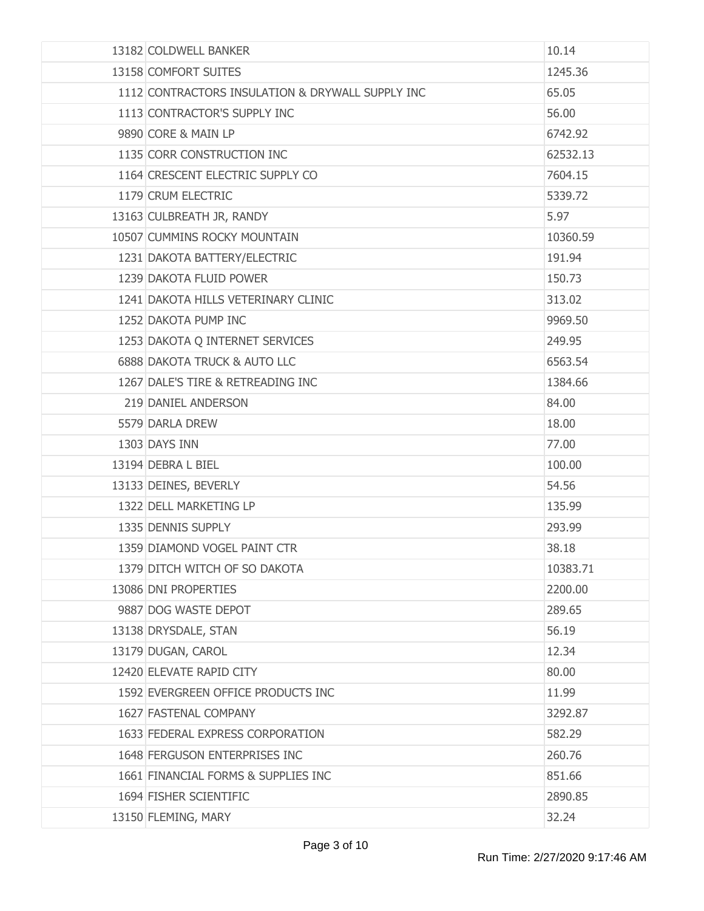| 13182 COLDWELL BANKER                            | 10.14    |
|--------------------------------------------------|----------|
| 13158 COMFORT SUITES                             | 1245.36  |
| 1112 CONTRACTORS INSULATION & DRYWALL SUPPLY INC | 65.05    |
| 1113 CONTRACTOR'S SUPPLY INC                     | 56.00    |
| 9890 CORE & MAIN LP                              | 6742.92  |
| 1135 CORR CONSTRUCTION INC                       | 62532.13 |
| 1164 CRESCENT ELECTRIC SUPPLY CO                 | 7604.15  |
| 1179 CRUM ELECTRIC                               | 5339.72  |
| 13163 CULBREATH JR, RANDY                        | 5.97     |
| 10507 CUMMINS ROCKY MOUNTAIN                     | 10360.59 |
| 1231 DAKOTA BATTERY/ELECTRIC                     | 191.94   |
| 1239 DAKOTA FLUID POWER                          | 150.73   |
| 1241 DAKOTA HILLS VETERINARY CLINIC              | 313.02   |
| 1252 DAKOTA PUMP INC                             | 9969.50  |
| 1253 DAKOTA Q INTERNET SERVICES                  | 249.95   |
| 6888 DAKOTA TRUCK & AUTO LLC                     | 6563.54  |
| 1267 DALE'S TIRE & RETREADING INC                | 1384.66  |
| 219 DANIEL ANDERSON                              | 84.00    |
| 5579 DARLA DREW                                  | 18.00    |
| 1303 DAYS INN                                    | 77.00    |
| 13194 DEBRA L BIEL                               | 100.00   |
| 13133 DEINES, BEVERLY                            | 54.56    |
| 1322 DELL MARKETING LP                           | 135.99   |
| 1335 DENNIS SUPPLY                               | 293.99   |
| 1359 DIAMOND VOGEL PAINT CTR                     | 38.18    |
| 1379 DITCH WITCH OF SO DAKOTA                    | 10383.71 |
| 13086 DNI PROPERTIES                             | 2200.00  |
| 9887 DOG WASTE DEPOT                             | 289.65   |
| 13138 DRYSDALE, STAN                             | 56.19    |
| 13179 DUGAN, CAROL                               | 12.34    |
| 12420 ELEVATE RAPID CITY                         | 80.00    |
| 1592 EVERGREEN OFFICE PRODUCTS INC               | 11.99    |
| 1627 FASTENAL COMPANY                            | 3292.87  |
| 1633 FEDERAL EXPRESS CORPORATION                 | 582.29   |
| 1648 FERGUSON ENTERPRISES INC                    | 260.76   |
| 1661 FINANCIAL FORMS & SUPPLIES INC              | 851.66   |
| 1694 FISHER SCIENTIFIC                           | 2890.85  |
| 13150 FLEMING, MARY                              | 32.24    |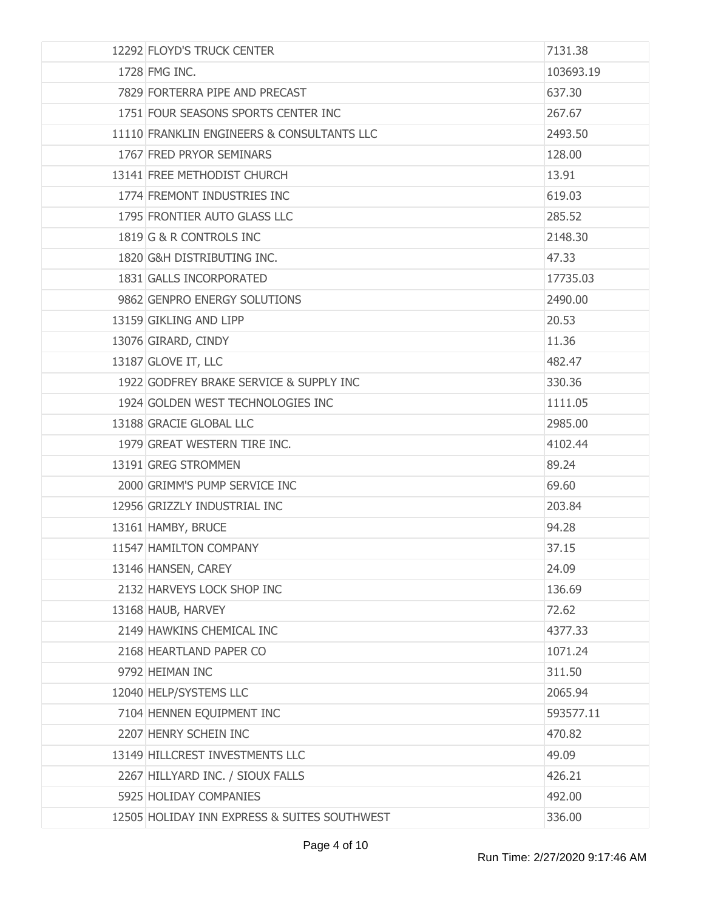| 12292 FLOYD'S TRUCK CENTER                   | 7131.38   |
|----------------------------------------------|-----------|
| 1728 FMG INC.                                | 103693.19 |
| 7829 FORTERRA PIPE AND PRECAST               | 637.30    |
| 1751 FOUR SEASONS SPORTS CENTER INC          | 267.67    |
| 11110 FRANKLIN ENGINEERS & CONSULTANTS LLC   | 2493.50   |
| 1767 FRED PRYOR SEMINARS                     | 128.00    |
| 13141 FREE METHODIST CHURCH                  | 13.91     |
| 1774 FREMONT INDUSTRIES INC                  | 619.03    |
| 1795 FRONTIER AUTO GLASS LLC                 | 285.52    |
| 1819 G & R CONTROLS INC                      | 2148.30   |
| 1820 G&H DISTRIBUTING INC.                   | 47.33     |
| 1831 GALLS INCORPORATED                      | 17735.03  |
| 9862 GENPRO ENERGY SOLUTIONS                 | 2490.00   |
| 13159 GIKLING AND LIPP                       | 20.53     |
| 13076 GIRARD, CINDY                          | 11.36     |
| 13187 GLOVE IT, LLC                          | 482,47    |
| 1922 GODFREY BRAKE SERVICE & SUPPLY INC      | 330.36    |
| 1924 GOLDEN WEST TECHNOLOGIES INC            | 1111.05   |
| 13188 GRACIE GLOBAL LLC                      | 2985.00   |
| 1979 GREAT WESTERN TIRE INC.                 | 4102.44   |
| 13191 GREG STROMMEN                          | 89.24     |
| 2000 GRIMM'S PUMP SERVICE INC                | 69.60     |
| 12956 GRIZZLY INDUSTRIAL INC                 | 203.84    |
| 13161 HAMBY, BRUCE                           | 94.28     |
| 11547 HAMILTON COMPANY                       | 37.15     |
| 13146 HANSEN, CAREY                          | 24.09     |
| 2132 HARVEYS LOCK SHOP INC                   | 136.69    |
| 13168 HAUB, HARVEY                           | 72.62     |
| 2149 HAWKINS CHEMICAL INC                    | 4377.33   |
| 2168 HEARTLAND PAPER CO                      | 1071.24   |
| 9792 HEIMAN INC                              | 311.50    |
| 12040 HELP/SYSTEMS LLC                       | 2065.94   |
| 7104 HENNEN EQUIPMENT INC                    | 593577.11 |
| 2207 HENRY SCHEIN INC                        | 470.82    |
| 13149 HILLCREST INVESTMENTS LLC              | 49.09     |
| 2267 HILLYARD INC. / SIOUX FALLS             | 426.21    |
| 5925 HOLIDAY COMPANIES                       | 492.00    |
| 12505 HOLIDAY INN EXPRESS & SUITES SOUTHWEST | 336.00    |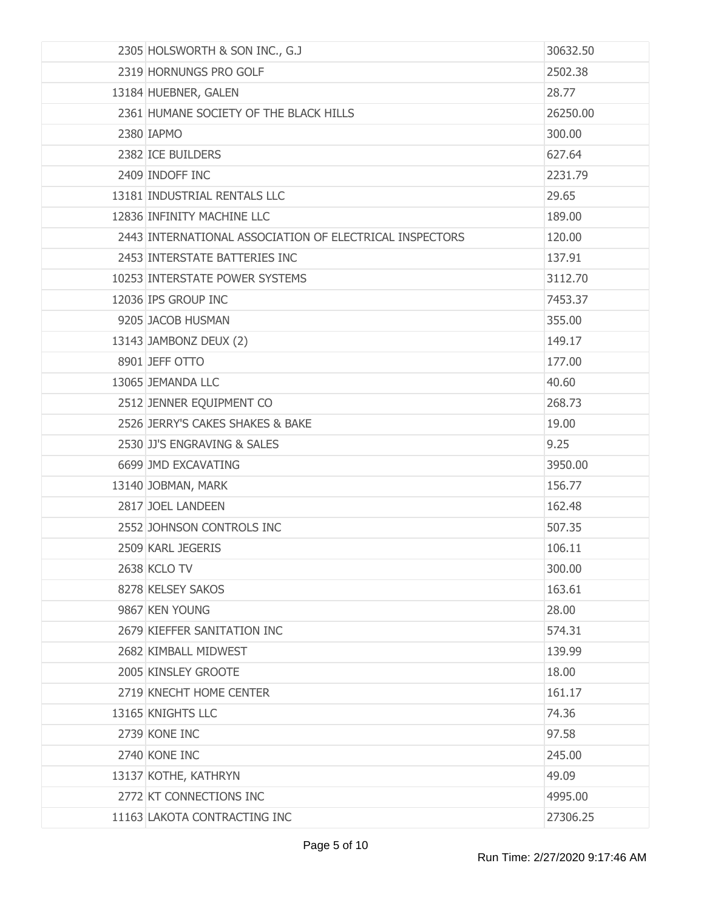| 2305 HOLSWORTH & SON INC., G.J                          | 30632.50 |
|---------------------------------------------------------|----------|
| 2319 HORNUNGS PRO GOLF                                  | 2502.38  |
| 13184 HUEBNER, GALEN                                    | 28.77    |
| 2361 HUMANE SOCIETY OF THE BLACK HILLS                  | 26250.00 |
| 2380 IAPMO                                              | 300.00   |
| 2382 ICE BUILDERS                                       | 627.64   |
| 2409 INDOFF INC                                         | 2231.79  |
| 13181 INDUSTRIAL RENTALS LLC                            | 29.65    |
| 12836 INFINITY MACHINE LLC                              | 189.00   |
| 2443 INTERNATIONAL ASSOCIATION OF ELECTRICAL INSPECTORS | 120.00   |
| 2453 INTERSTATE BATTERIES INC                           | 137.91   |
| 10253 INTERSTATE POWER SYSTEMS                          | 3112.70  |
| 12036 IPS GROUP INC                                     | 7453.37  |
| 9205 JACOB HUSMAN                                       | 355.00   |
| 13143 JAMBONZ DEUX (2)                                  | 149.17   |
| 8901 JEFF OTTO                                          | 177.00   |
| 13065 JEMANDA LLC                                       | 40.60    |
| 2512 JENNER EQUIPMENT CO                                | 268.73   |
| 2526 JERRY'S CAKES SHAKES & BAKE                        | 19.00    |
| 2530 JJ'S ENGRAVING & SALES                             | 9.25     |
| 6699 JMD EXCAVATING                                     | 3950.00  |
| 13140 JOBMAN, MARK                                      | 156.77   |
| 2817 JOEL LANDEEN                                       | 162.48   |
| 2552 JOHNSON CONTROLS INC                               | 507.35   |
| 2509 KARL JEGERIS                                       | 106.11   |
| <b>2638 KCLO TV</b>                                     | 300.00   |
| 8278 KELSEY SAKOS                                       | 163.61   |
| 9867 KEN YOUNG                                          | 28.00    |
| 2679 KIEFFER SANITATION INC                             | 574.31   |
| 2682 KIMBALL MIDWEST                                    | 139.99   |
| 2005 KINSLEY GROOTE                                     | 18.00    |
| 2719 KNECHT HOME CENTER                                 | 161.17   |
| 13165 KNIGHTS LLC                                       | 74.36    |
| 2739 KONE INC                                           | 97.58    |
| 2740 KONE INC                                           | 245.00   |
| 13137 KOTHE, KATHRYN                                    | 49.09    |
| 2772 KT CONNECTIONS INC                                 | 4995.00  |
| 11163 LAKOTA CONTRACTING INC                            | 27306.25 |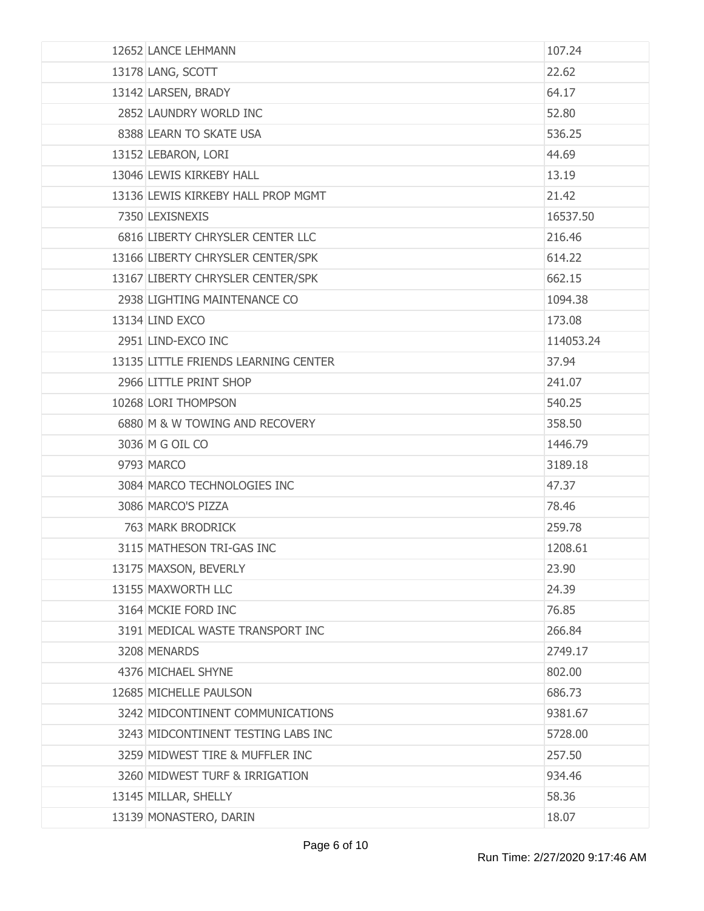| 12652 LANCE LEHMANN                  | 107.24    |
|--------------------------------------|-----------|
| 13178 LANG, SCOTT                    | 22.62     |
| 13142 LARSEN, BRADY                  | 64.17     |
| 2852 LAUNDRY WORLD INC               | 52.80     |
| 8388 LEARN TO SKATE USA              | 536.25    |
| 13152 LEBARON, LORI                  | 44.69     |
| 13046 LEWIS KIRKEBY HALL             | 13.19     |
| 13136 LEWIS KIRKEBY HALL PROP MGMT   | 21.42     |
| 7350 LEXISNEXIS                      | 16537.50  |
| 6816 LIBERTY CHRYSLER CENTER LLC     | 216.46    |
| 13166 LIBERTY CHRYSLER CENTER/SPK    | 614.22    |
| 13167 LIBERTY CHRYSLER CENTER/SPK    | 662.15    |
| 2938 LIGHTING MAINTENANCE CO         | 1094.38   |
| 13134 LIND EXCO                      | 173.08    |
| 2951 LIND-EXCO INC                   | 114053.24 |
| 13135 LITTLE FRIENDS LEARNING CENTER | 37.94     |
| 2966 LITTLE PRINT SHOP               | 241.07    |
| 10268 LORI THOMPSON                  | 540.25    |
| 6880 M & W TOWING AND RECOVERY       | 358.50    |
| 3036 M G OIL CO                      | 1446.79   |
| 9793 MARCO                           | 3189.18   |
| 3084 MARCO TECHNOLOGIES INC          | 47.37     |
| 3086 MARCO'S PIZZA                   | 78.46     |
| 763 MARK BRODRICK                    | 259.78    |
| 3115 MATHESON TRI-GAS INC            | 1208.61   |
| 13175 MAXSON, BEVERLY                | 23.90     |
| 13155 MAXWORTH LLC                   | 24.39     |
| 3164 MCKIE FORD INC                  | 76.85     |
| 3191 MEDICAL WASTE TRANSPORT INC     | 266.84    |
| 3208 MENARDS                         | 2749.17   |
| 4376 MICHAEL SHYNE                   | 802,00    |
| 12685 MICHELLE PAULSON               | 686.73    |
| 3242 MIDCONTINENT COMMUNICATIONS     | 9381.67   |
| 3243 MIDCONTINENT TESTING LABS INC   | 5728.00   |
| 3259 MIDWEST TIRE & MUFFLER INC      | 257.50    |
| 3260 MIDWEST TURF & IRRIGATION       | 934.46    |
| 13145 MILLAR, SHELLY                 | 58.36     |
| 13139 MONASTERO, DARIN               | 18.07     |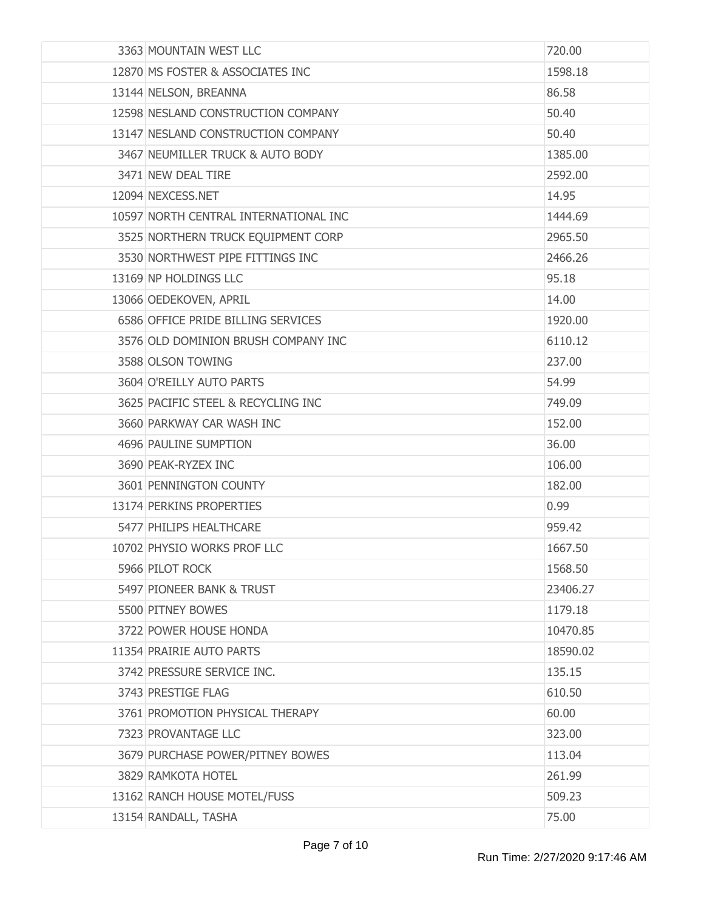| 3363 MOUNTAIN WEST LLC                | 720.00   |
|---------------------------------------|----------|
| 12870 MS FOSTER & ASSOCIATES INC      | 1598.18  |
| 13144 NELSON, BREANNA                 | 86.58    |
| 12598 NESLAND CONSTRUCTION COMPANY    | 50.40    |
| 13147 NESLAND CONSTRUCTION COMPANY    | 50.40    |
| 3467 NEUMILLER TRUCK & AUTO BODY      | 1385.00  |
| 3471 NEW DEAL TIRE                    | 2592.00  |
| 12094 NEXCESS.NET                     | 14.95    |
| 10597 NORTH CENTRAL INTERNATIONAL INC | 1444.69  |
| 3525 NORTHERN TRUCK EQUIPMENT CORP    | 2965.50  |
| 3530 NORTHWEST PIPE FITTINGS INC      | 2466.26  |
| 13169 NP HOLDINGS LLC                 | 95.18    |
| 13066 OEDEKOVEN, APRIL                | 14.00    |
| 6586 OFFICE PRIDE BILLING SERVICES    | 1920.00  |
| 3576 OLD DOMINION BRUSH COMPANY INC   | 6110.12  |
| 3588 OLSON TOWING                     | 237.00   |
| 3604 O'REILLY AUTO PARTS              | 54.99    |
| 3625 PACIFIC STEEL & RECYCLING INC    | 749.09   |
| 3660 PARKWAY CAR WASH INC             | 152.00   |
| 4696 PAULINE SUMPTION                 | 36.00    |
| 3690 PEAK-RYZEX INC                   | 106.00   |
| 3601 PENNINGTON COUNTY                | 182.00   |
| 13174 PERKINS PROPERTIES              | 0.99     |
| 5477 PHILIPS HEALTHCARE               | 959.42   |
| 10702 PHYSIO WORKS PROF LLC           | 1667.50  |
| 5966 PILOT ROCK                       | 1568.50  |
| 5497 PIONEER BANK & TRUST             | 23406.27 |
| 5500 PITNEY BOWES                     | 1179.18  |
| 3722 POWER HOUSE HONDA                | 10470.85 |
| 11354 PRAIRIE AUTO PARTS              | 18590.02 |
| 3742 PRESSURE SERVICE INC.            | 135.15   |
| 3743 PRESTIGE FLAG                    | 610.50   |
| 3761 PROMOTION PHYSICAL THERAPY       | 60.00    |
| 7323 PROVANTAGE LLC                   | 323.00   |
| 3679 PURCHASE POWER/PITNEY BOWES      | 113.04   |
| 3829 RAMKOTA HOTEL                    | 261.99   |
| 13162 RANCH HOUSE MOTEL/FUSS          | 509.23   |
| 13154 RANDALL, TASHA                  | 75.00    |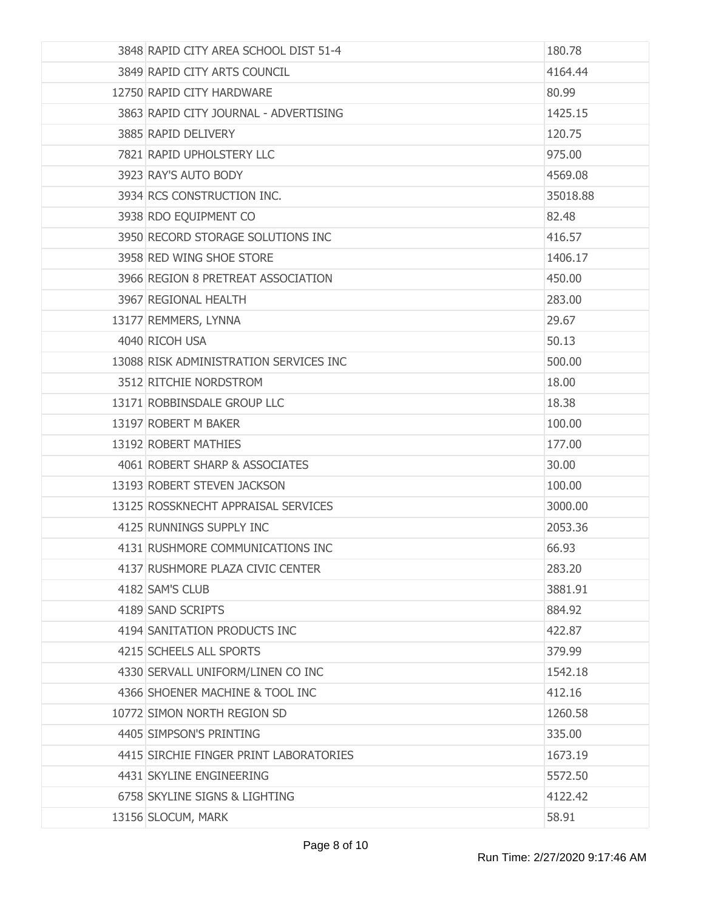| 3848 RAPID CITY AREA SCHOOL DIST 51-4  | 180.78   |
|----------------------------------------|----------|
| 3849 RAPID CITY ARTS COUNCIL           | 4164.44  |
| 12750 RAPID CITY HARDWARE              | 80.99    |
| 3863 RAPID CITY JOURNAL - ADVERTISING  | 1425.15  |
| 3885 RAPID DELIVERY                    | 120.75   |
| 7821 RAPID UPHOLSTERY LLC              | 975.00   |
| 3923 RAY'S AUTO BODY                   | 4569.08  |
| 3934 RCS CONSTRUCTION INC.             | 35018.88 |
| 3938 RDO EQUIPMENT CO                  | 82.48    |
| 3950 RECORD STORAGE SOLUTIONS INC      | 416.57   |
| 3958 RED WING SHOE STORE               | 1406.17  |
| 3966 REGION 8 PRETREAT ASSOCIATION     | 450.00   |
| 3967 REGIONAL HEALTH                   | 283.00   |
| 13177 REMMERS, LYNNA                   | 29.67    |
| 4040 RICOH USA                         | 50.13    |
| 13088 RISK ADMINISTRATION SERVICES INC | 500.00   |
| 3512 RITCHIE NORDSTROM                 | 18.00    |
| 13171 ROBBINSDALE GROUP LLC            | 18.38    |
| 13197 ROBERT M BAKER                   | 100.00   |
| 13192 ROBERT MATHIES                   | 177.00   |
| 4061 ROBERT SHARP & ASSOCIATES         | 30.00    |
| 13193 ROBERT STEVEN JACKSON            | 100.00   |
| 13125 ROSSKNECHT APPRAISAL SERVICES    | 3000.00  |
| 4125 RUNNINGS SUPPLY INC               | 2053.36  |
| 4131 RUSHMORE COMMUNICATIONS INC       | 66.93    |
| 4137 RUSHMORE PLAZA CIVIC CENTER       | 283.20   |
| 4182 SAM'S CLUB                        | 3881.91  |
| 4189 SAND SCRIPTS                      | 884.92   |
| 4194 SANITATION PRODUCTS INC           | 422.87   |
| 4215 SCHEELS ALL SPORTS                | 379.99   |
| 4330 SERVALL UNIFORM/LINEN CO INC      | 1542.18  |
| 4366 SHOENER MACHINE & TOOL INC        | 412.16   |
| 10772 SIMON NORTH REGION SD            | 1260.58  |
| 4405 SIMPSON'S PRINTING                | 335.00   |
| 4415 SIRCHIE FINGER PRINT LABORATORIES | 1673.19  |
| 4431 SKYLINE ENGINEERING               | 5572.50  |
| 6758 SKYLINE SIGNS & LIGHTING          | 4122.42  |
| 13156 SLOCUM, MARK                     | 58.91    |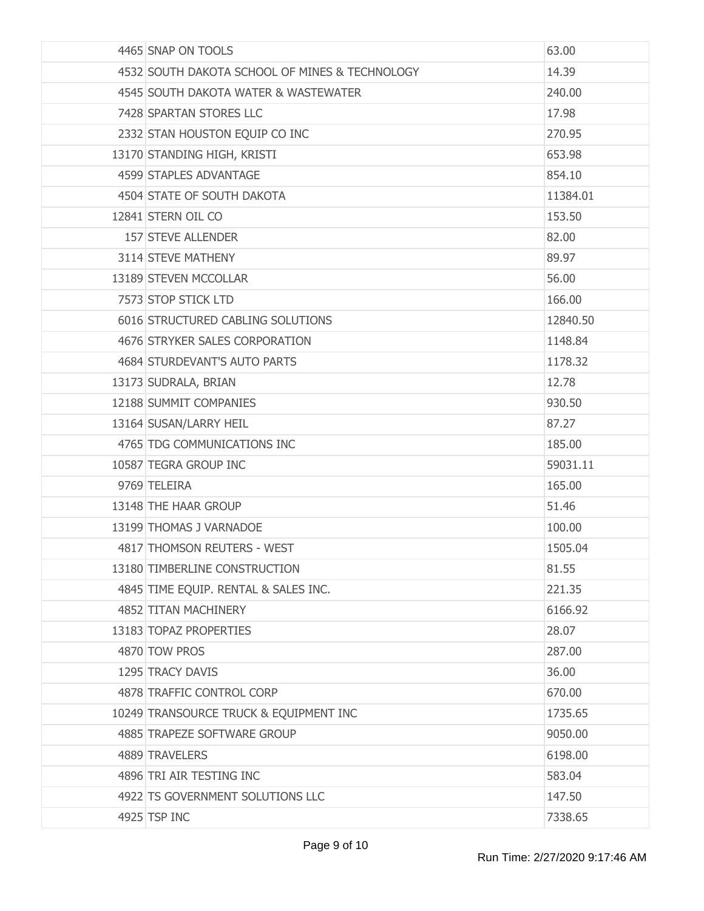| 4465 SNAP ON TOOLS                             | 63.00    |
|------------------------------------------------|----------|
| 4532 SOUTH DAKOTA SCHOOL OF MINES & TECHNOLOGY | 14.39    |
| 4545 SOUTH DAKOTA WATER & WASTEWATER           | 240.00   |
| 7428 SPARTAN STORES LLC                        | 17.98    |
| 2332 STAN HOUSTON EQUIP CO INC                 | 270.95   |
| 13170 STANDING HIGH, KRISTI                    | 653.98   |
| 4599 STAPLES ADVANTAGE                         | 854.10   |
| 4504 STATE OF SOUTH DAKOTA                     | 11384.01 |
| 12841 STERN OIL CO                             | 153.50   |
| 157 STEVE ALLENDER                             | 82.00    |
| 3114 STEVE MATHENY                             | 89.97    |
| 13189 STEVEN MCCOLLAR                          | 56.00    |
| 7573 STOP STICK LTD                            | 166.00   |
| 6016 STRUCTURED CABLING SOLUTIONS              | 12840.50 |
| 4676 STRYKER SALES CORPORATION                 | 1148.84  |
| 4684 STURDEVANT'S AUTO PARTS                   | 1178.32  |
| 13173 SUDRALA, BRIAN                           | 12.78    |
| 12188 SUMMIT COMPANIES                         | 930.50   |
| 13164 SUSAN/LARRY HEIL                         | 87.27    |
| 4765 TDG COMMUNICATIONS INC                    | 185.00   |
| 10587 TEGRA GROUP INC                          | 59031.11 |
| 9769 TELEIRA                                   | 165.00   |
| 13148 THE HAAR GROUP                           | 51.46    |
| 13199 THOMAS J VARNADOE                        | 100.00   |
| 4817 THOMSON REUTERS - WEST                    | 1505.04  |
| 13180 TIMBERLINE CONSTRUCTION                  | 81.55    |
| 4845 TIME EQUIP. RENTAL & SALES INC.           | 221.35   |
| 4852 TITAN MACHINERY                           | 6166.92  |
| 13183 TOPAZ PROPERTIES                         | 28.07    |
| 4870 TOW PROS                                  | 287.00   |
| 1295 TRACY DAVIS                               | 36.00    |
| 4878 TRAFFIC CONTROL CORP                      | 670.00   |
| 10249 TRANSOURCE TRUCK & EQUIPMENT INC         | 1735.65  |
| 4885 TRAPEZE SOFTWARE GROUP                    | 9050.00  |
| 4889 TRAVELERS                                 | 6198.00  |
| 4896 TRI AIR TESTING INC                       | 583.04   |
| 4922 TS GOVERNMENT SOLUTIONS LLC               | 147.50   |
| 4925 TSP INC                                   | 7338.65  |